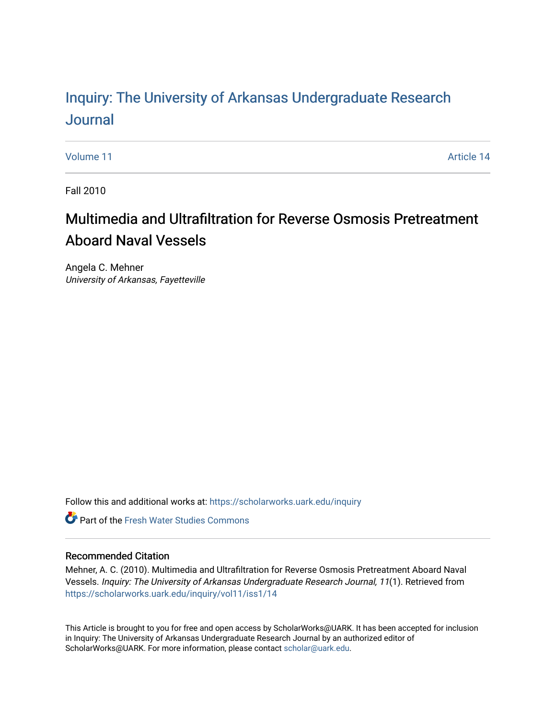## Inquiry: The Univ[ersity of Arkansas Undergraduate Resear](https://scholarworks.uark.edu/inquiry)ch [Journal](https://scholarworks.uark.edu/inquiry)

[Volume 11](https://scholarworks.uark.edu/inquiry/vol11) Article 14

Fall 2010

# Multimedia and Ultrafiltration for Reverse Osmosis Pretreatment Aboard Naval Vessels

Angela C. Mehner University of Arkansas, Fayetteville

Follow this and additional works at: [https://scholarworks.uark.edu/inquiry](https://scholarworks.uark.edu/inquiry?utm_source=scholarworks.uark.edu%2Finquiry%2Fvol11%2Fiss1%2F14&utm_medium=PDF&utm_campaign=PDFCoverPages)

**C** Part of the Fresh Water Studies Commons

## Recommended Citation

Mehner, A. C. (2010). Multimedia and Ultrafiltration for Reverse Osmosis Pretreatment Aboard Naval Vessels. Inquiry: The University of Arkansas Undergraduate Research Journal, 11(1). Retrieved from [https://scholarworks.uark.edu/inquiry/vol11/iss1/14](https://scholarworks.uark.edu/inquiry/vol11/iss1/14?utm_source=scholarworks.uark.edu%2Finquiry%2Fvol11%2Fiss1%2F14&utm_medium=PDF&utm_campaign=PDFCoverPages)

This Article is brought to you for free and open access by ScholarWorks@UARK. It has been accepted for inclusion in Inquiry: The University of Arkansas Undergraduate Research Journal by an authorized editor of ScholarWorks@UARK. For more information, please contact [scholar@uark.edu](mailto:scholar@uark.edu).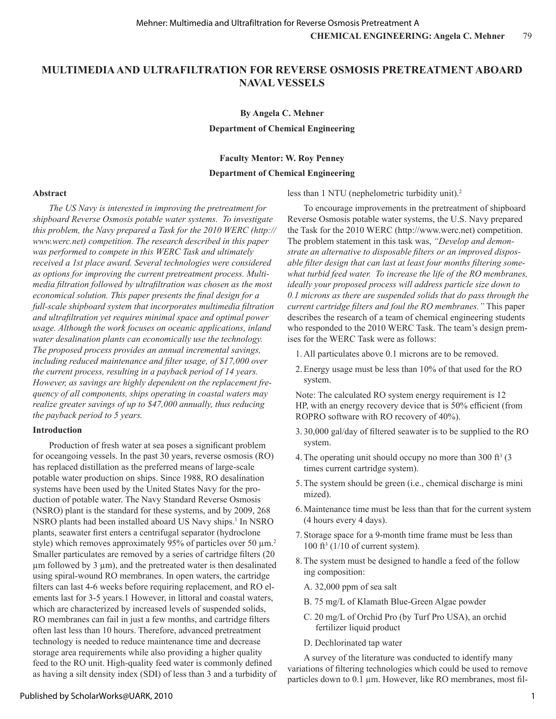## **MULTIMEDIA AND ULTRAFILTRATION FOR REVERSE OSMOSIS PRETREATMENT ABOARD NAVAL VESSELS**

### **By Angela C. Mehner**

**Department of Chemical Engineering**

#### **Faculty Mentor: W. Roy Penney**

#### **Department of Chemical Engineering**

#### **Abstract**

*The US Navy is interested in improving the pretreatment for shipboard Reverse Osmosis potable water systems. To investigate this problem, the Navy prepared a Task for the 2010 WERC (http:// www.werc.net) competition. The research described in this paper was performed to compete in this WERC Task and ultimately received a 1st place award. Several technologies were considered as options for improving the current pretreatment process. Multimedia filtration followed by ultrafiltration was chosen as the most economical solution. This paper presents the final design for a full-scale shipboard system that incorporates multimedia filtration and ultrafiltration yet requires minimal space and optimal power usage. Although the work focuses on oceanic applications, inland water desalination plants can economically use the technology. The proposed process provides an annual incremental savings, including reduced maintenance and filter usage, of \$17,000 over the current process, resulting in a payback period of 14 years. However, as savings are highly dependent on the replacement frequency of all components, ships operating in coastal waters may realize greater savings of up to \$47,000 annually, thus reducing the payback period to 5 years.*

#### **Introduction**

Production of fresh water at sea poses a significant problem for oceangoing vessels. In the past 30 years, reverse osmosis (RO) has replaced distillation as the preferred means of large-scale potable water production on ships. Since 1988, RO desalination systems have been used by the United States Navy for the production of potable water. The Navy Standard Reverse Osmosis (NSRO) plant is the standard for these systems, and by 2009, 268 NSRO plants had been installed aboard US Navy ships.<sup>1</sup> In NSRO plants, seawater first enters a centrifugal separator (hydroclone style) which removes approximately 95% of particles over 50  $\mu$ m.<sup>2</sup> Smaller particulates are removed by a series of cartridge filters (20  $\mu$ m followed by 3  $\mu$ m), and the pretreated water is then desalinated using spiral-wound RO membranes. In open waters, the cartridge filters can last 4-6 weeks before requiring replacement, and RO elements last for 3-5 years.1 However, in littoral and coastal waters, which are characterized by increased levels of suspended solids, RO membranes can fail in just a few months, and cartridge filters often last less than 10 hours. Therefore, advanced pretreatment technology is needed to reduce maintenance time and decrease storage area requirements while also providing a higher quality feed to the RO unit. High-quality feed water is commonly defined as having a silt density index (SDI) of less than 3 and a turbidity of less than 1 NTU (nephelometric turbidity unit).2

To encourage improvements in the pretreatment of shipboard Reverse Osmosis potable water systems, the U.S. Navy prepared the Task for the 2010 WERC (http://www.werc.net) competition. The problem statement in this task was, *"Develop and demonstrate an alternative to disposable filters or an improved disposable filter design that can last at least four months filtering somewhat turbid feed water. To increase the life of the RO membranes, ideally your proposed process will address particle size down to 0.1 microns as there are suspended solids that do pass through the current cartridge filters and foul the RO membranes."* This paper describes the research of a team of chemical engineering students who responded to the 2010 WERC Task. The team's design premises for the WERC Task were as follows:

1. All particulates above 0.1 microns are to be removed.

2.Energy usage must be less than 10% of that used for the RO system.

Note: The calculated RO system energy requirement is 12 HP, with an energy recovery device that is 50% efficient (from ROPRO software with RO recovery of 40%).

- 3. 30,000 gal/day of filtered seawater is to be supplied to the RO system.
- 4. The operating unit should occupy no more than  $300 \text{ ft}^3$  (3) times current cartridge system).
- 5.The system should be green (i.e., chemical discharge is mini mized).
- 6. Maintenance time must be less than that for the current system (4 hours every 4 days).
- 7. Storage space for a 9-month time frame must be less than  $100 \text{ ft}^3$  (1/10 of current system).
	- 8.The system must be designed to handle a feed of the follow ing composition:
		- A. 32,000 ppm of sea salt
		- B. 75 mg/L of Klamath Blue-Green Algae powder
		- C. 20 mg/L of Orchid Pro (by Turf Pro USA), an orchid fertilizer liquid product
		- D. Dechlorinated tap water

A survey of the literature was conducted to identify many variations of filtering technologies which could be used to remove particles down to 0.1 µm. However, like RO membranes, most fil-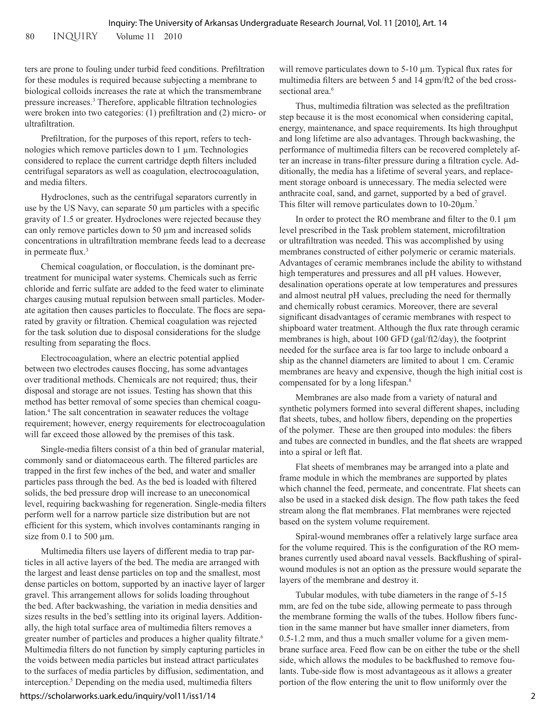ters are prone to fouling under turbid feed conditions. Prefiltration for these modules is required because subjecting a membrane to biological colloids increases the rate at which the transmembrane pressure increases.3 Therefore, applicable filtration technologies were broken into two categories: (1) prefiltration and (2) micro- or ultrafiltration.

Prefiltration, for the purposes of this report, refers to technologies which remove particles down to 1 µm. Technologies considered to replace the current cartridge depth filters included centrifugal separators as well as coagulation, electrocoagulation, and media filters.

Hydroclones, such as the centrifugal separators currently in use by the US Navy, can separate 50 µm particles with a specific gravity of 1.5 or greater. Hydroclones were rejected because they can only remove particles down to 50 μm and increased solids concentrations in ultrafiltration membrane feeds lead to a decrease in permeate flux.<sup>3</sup>

Chemical coagulation, or flocculation, is the dominant pretreatment for municipal water systems. Chemicals such as ferric chloride and ferric sulfate are added to the feed water to eliminate charges causing mutual repulsion between small particles. Moderate agitation then causes particles to flocculate. The flocs are separated by gravity or filtration. Chemical coagulation was rejected for the task solution due to disposal considerations for the sludge resulting from separating the flocs.

Electrocoagulation, where an electric potential applied between two electrodes causes floccing, has some advantages over traditional methods. Chemicals are not required; thus, their disposal and storage are not issues. Testing has shown that this method has better removal of some species than chemical coagulation.4 The salt concentration in seawater reduces the voltage requirement; however, energy requirements for electrocoagulation will far exceed those allowed by the premises of this task.

Single-media filters consist of a thin bed of granular material, commonly sand or diatomaceous earth. The filtered particles are trapped in the first few inches of the bed, and water and smaller particles pass through the bed. As the bed is loaded with filtered solids, the bed pressure drop will increase to an uneconomical level, requiring backwashing for regeneration. Single-media filters perform well for a narrow particle size distribution but are not efficient for this system, which involves contaminants ranging in size from  $0.1$  to 500  $\mu$ m.

Multimedia filters use layers of different media to trap particles in all active layers of the bed. The media are arranged with the largest and least dense particles on top and the smallest, most dense particles on bottom, supported by an inactive layer of larger gravel. This arrangement allows for solids loading throughout the bed. After backwashing, the variation in media densities and sizes results in the bed's settling into its original layers. Additionally, the high total surface area of multimedia filters removes a greater number of particles and produces a higher quality filtrate.<sup>6</sup> Multimedia filters do not function by simply capturing particles in the voids between media particles but instead attract particulates to the surfaces of media particles by diffusion, sedimentation, and interception.5 Depending on the media used, multimedia filters

https://scholarworks.uark.edu/inquiry/vol11/iss1/14

will remove particulates down to 5-10 μm. Typical flux rates for multimedia filters are between 5 and 14 gpm/ft2 of the bed crosssectional area.<sup>6</sup>

Thus, multimedia filtration was selected as the prefiltration step because it is the most economical when considering capital, energy, maintenance, and space requirements. Its high throughput and long lifetime are also advantages. Through backwashing, the performance of multimedia filters can be recovered completely after an increase in trans-filter pressure during a filtration cycle. Additionally, the media has a lifetime of several years, and replacement storage onboard is unnecessary. The media selected were anthracite coal, sand, and garnet, supported by a bed of gravel. This filter will remove particulates down to  $10{\text -}20\mu{\text{m}}$ .<sup>7</sup>

In order to protect the RO membrane and filter to the 0.1 μm level prescribed in the Task problem statement, microfiltration or ultrafiltration was needed. This was accomplished by using membranes constructed of either polymeric or ceramic materials. Advantages of ceramic membranes include the ability to withstand high temperatures and pressures and all pH values. However, desalination operations operate at low temperatures and pressures and almost neutral pH values, precluding the need for thermally and chemically robust ceramics. Moreover, there are several significant disadvantages of ceramic membranes with respect to shipboard water treatment. Although the flux rate through ceramic membranes is high, about 100 GFD (gal/ft2/day), the footprint needed for the surface area is far too large to include onboard a ship as the channel diameters are limited to about 1 cm. Ceramic membranes are heavy and expensive, though the high initial cost is compensated for by a long lifespan.8

Membranes are also made from a variety of natural and synthetic polymers formed into several different shapes, including flat sheets, tubes, and hollow fibers, depending on the properties of the polymer. These are then grouped into modules: the fibers and tubes are connected in bundles, and the flat sheets are wrapped into a spiral or left flat.

Flat sheets of membranes may be arranged into a plate and frame module in which the membranes are supported by plates which channel the feed, permeate, and concentrate. Flat sheets can also be used in a stacked disk design. The flow path takes the feed stream along the flat membranes. Flat membranes were rejected based on the system volume requirement.

Spiral-wound membranes offer a relatively large surface area for the volume required. This is the configuration of the RO membranes currently used aboard naval vessels. Backflushing of spiralwound modules is not an option as the pressure would separate the layers of the membrane and destroy it.

Tubular modules, with tube diameters in the range of 5-15 mm, are fed on the tube side, allowing permeate to pass through the membrane forming the walls of the tubes. Hollow fibers function in the same manner but have smaller inner diameters, from 0.5-1.2 mm, and thus a much smaller volume for a given membrane surface area. Feed flow can be on either the tube or the shell side, which allows the modules to be backflushed to remove foulants. Tube-side flow is most advantageous as it allows a greater portion of the flow entering the unit to flow uniformly over the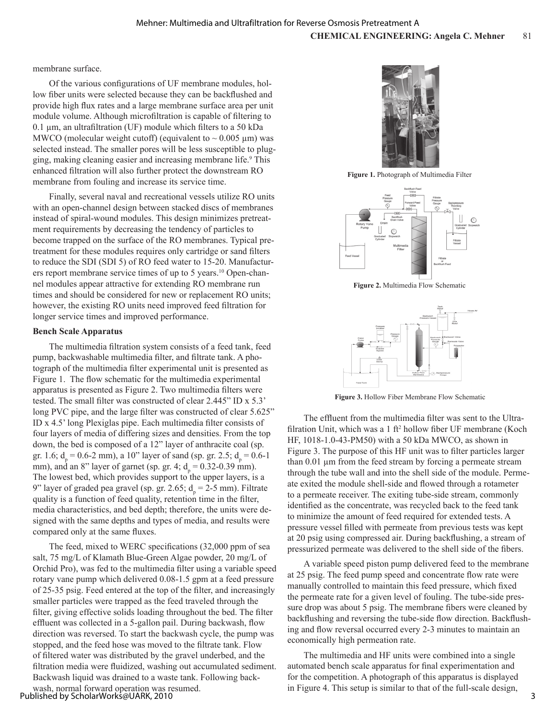membrane surface.

Of the various configurations of UF membrane modules, hollow fiber units were selected because they can be backflushed and provide high flux rates and a large membrane surface area per unit module volume. Although microfiltration is capable of filtering to 0.1 μm, an ultrafiltration (UF) module which filters to a 50 kDa MWCO (molecular weight cutoff) (equivalent to  $\sim 0.005 \mu m$ ) was selected instead. The smaller pores will be less susceptible to plugging, making cleaning easier and increasing membrane life.<sup>9</sup> This enhanced filtration will also further protect the downstream RO membrane from fouling and increase its service time.

Finally, several naval and recreational vessels utilize RO units with an open-channel design between stacked discs of membranes instead of spiral-wound modules. This design minimizes pretreatment requirements by decreasing the tendency of particles to become trapped on the surface of the RO membranes. Typical pretreatment for these modules requires only cartridge or sand filters to reduce the SDI (SDI 5) of RO feed water to 15-20. Manufacturers report membrane service times of up to 5 years.10 Open-channel modules appear attractive for extending RO membrane run times and should be considered for new or replacement RO units; however, the existing RO units need improved feed filtration for longer service times and improved performance.

#### **Bench Scale Apparatus**

The multimedia filtration system consists of a feed tank, feed pump, backwashable multimedia filter, and filtrate tank. A photograph of the multimedia filter experimental unit is presented as Figure 1. The flow schematic for the multimedia experimental apparatus is presented as Figure 2. Two multimedia filters were tested. The small filter was constructed of clear 2.445" ID x 5.3' long PVC pipe, and the large filter was constructed of clear 5.625" ID x 4.5' long Plexiglas pipe. Each multimedia filter consists of four layers of media of differing sizes and densities. From the top down, the bed is composed of a 12" layer of anthracite coal (sp. gr. 1.6;  $d_p = 0.6-2$  mm), a 10" layer of sand (sp. gr. 2.5;  $d_p = 0.6-1$ mm), and an 8" layer of garnet (sp. gr. 4;  $d_p = 0.32{\text -}0.39$  mm). The lowest bed, which provides support to the upper layers, is a 9" layer of graded pea gravel (sp. gr. 2.65;  $d_p = 2-5$  mm). Filtrate quality is a function of feed quality, retention time in the filter, media characteristics, and bed depth; therefore, the units were designed with the same depths and types of media, and results were compared only at the same fluxes.

The feed, mixed to WERC specifications (32,000 ppm of sea salt, 75 mg/L of Klamath Blue-Green Algae powder, 20 mg/L of Orchid Pro), was fed to the multimedia filter using a variable speed rotary vane pump which delivered 0.08-1.5 gpm at a feed pressure of 25-35 psig. Feed entered at the top of the filter, and increasingly smaller particles were trapped as the feed traveled through the filter, giving effective solids loading throughout the bed. The filter effluent was collected in a 5-gallon pail. During backwash, flow direction was reversed. To start the backwash cycle, the pump was stopped, and the feed hose was moved to the filtrate tank. Flow of filtered water was distributed by the gravel underbed, and the filtration media were fluidized, washing out accumulated sediment. Backwash liquid was drained to a waste tank. Following backwash, normal forward operation was resumed.





**Figure 1.** Photograph of Multimedia Filter



**Figure 2.** Multimedia Flow Schematic



**Figure 3.** Hollow Fiber Membrane Flow Schematic

The effluent from the multimedia filter was sent to the Ultrafilration Unit, which was a 1 ft<sup>2</sup> hollow fiber UF membrane (Koch HF, 1018-1.0-43-PM50) with a 50 kDa MWCO, as shown in Figure 3. The purpose of this HF unit was to filter particles larger than 0.01 µm from the feed stream by forcing a permeate stream through the tube wall and into the shell side of the module. Permeate exited the module shell-side and flowed through a rotameter to a permeate receiver. The exiting tube-side stream, commonly identified as the concentrate, was recycled back to the feed tank to minimize the amount of feed required for extended tests. A pressure vessel filled with permeate from previous tests was kept at 20 psig using compressed air. During backflushing, a stream of pressurized permeate was delivered to the shell side of the fibers.

A variable speed piston pump delivered feed to the membrane at 25 psig. The feed pump speed and concentrate flow rate were manually controlled to maintain this feed pressure, which fixed the permeate rate for a given level of fouling. The tube-side pressure drop was about 5 psig. The membrane fibers were cleaned by backflushing and reversing the tube-side flow direction. Backflushing and flow reversal occurred every 2-3 minutes to maintain an economically high permeation rate.

The multimedia and HF units were combined into a single automated bench scale apparatus for final experimentation and for the competition. A photograph of this apparatus is displayed in Figure 4. This setup is similar to that of the full-scale design,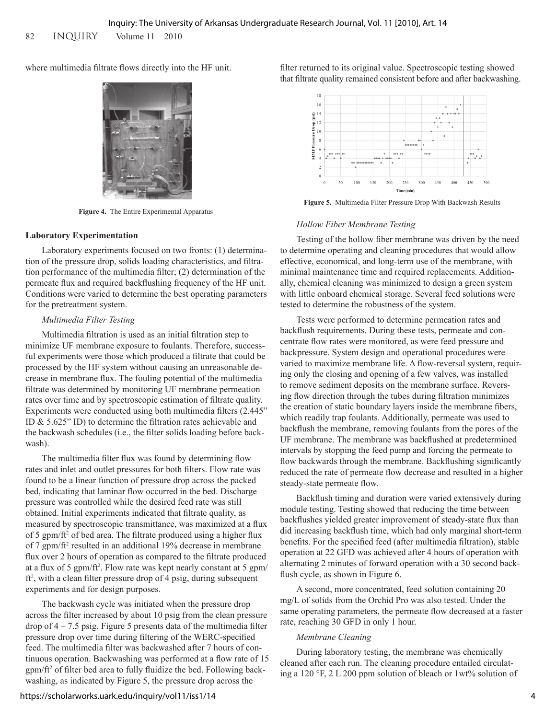where multimedia filtrate flows directly into the HF unit.



**Figure 4.** The Entire Experimental Apparatus

#### **Laboratory Experimentation**

Laboratory experiments focused on two fronts: (1) determination of the pressure drop, solids loading characteristics, and filtration performance of the multimedia filter; (2) determination of the permeate flux and required backflushing frequency of the HF unit. Conditions were varied to determine the best operating parameters for the pretreatment system.

## *Multimedia Filter Testing*

Multimedia filtration is used as an initial filtration step to minimize UF membrane exposure to foulants. Therefore, successful experiments were those which produced a filtrate that could be processed by the HF system without causing an unreasonable decrease in membrane flux. The fouling potential of the multimedia filtrate was determined by monitoring UF membrane permeation rates over time and by spectroscopic estimation of filtrate quality. Experiments were conducted using both multimedia filters (2.445" ID & 5.625" ID) to determine the filtration rates achievable and the backwash schedules (i.e., the filter solids loading before backwash).

The multimedia filter flux was found by determining flow rates and inlet and outlet pressures for both filters. Flow rate was found to be a linear function of pressure drop across the packed bed, indicating that laminar flow occurred in the bed. Discharge pressure was controlled while the desired feed rate was still obtained. Initial experiments indicated that filtrate quality, as measured by spectroscopic transmittance, was maximized at a flux of 5 gpm/ft<sup>2</sup> of bed area. The filtrate produced using a higher flux of 7 gpm/ft<sup>2</sup> resulted in an additional 19% decrease in membrane flux over 2 hours of operation as compared to the filtrate produced at a flux of 5 gpm/ft<sup>2</sup>. Flow rate was kept nearly constant at 5 gpm/ ft<sup>2</sup>, with a clean filter pressure drop of 4 psig, during subsequent experiments and for design purposes.

The backwash cycle was initiated when the pressure drop across the filter increased by about 10 psig from the clean pressure drop of  $4 - 7.5$  psig. Figure 5 presents data of the multimedia filter pressure drop over time during filtering of the WERC-specified feed. The multimedia filter was backwashed after 7 hours of continuous operation. Backwashing was performed at a flow rate of 15 gpm/ft<sup>2</sup> of filter bed area to fully fluidize the bed. Following backwashing, as indicated by Figure 5, the pressure drop across the

filter returned to its original value. Spectroscopic testing showed that filtrate quality remained consistent before and after backwashing.



**Figure 5.** Multimedia Filter Pressure Drop With Backwash Results

### *Hollow Fiber Membrane Testing*

Testing of the hollow fiber membrane was driven by the need to determine operating and cleaning procedures that would allow effective, economical, and long-term use of the membrane, with minimal maintenance time and required replacements. Additionally, chemical cleaning was minimized to design a green system with little onboard chemical storage. Several feed solutions were tested to determine the robustness of the system.

Tests were performed to determine permeation rates and backflush requirements. During these tests, permeate and concentrate flow rates were monitored, as were feed pressure and backpressure. System design and operational procedures were varied to maximize membrane life. A flow-reversal system, requiring only the closing and opening of a few valves, was installed to remove sediment deposits on the membrane surface. Reversing flow direction through the tubes during filtration minimizes the creation of static boundary layers inside the membrane fibers, which readily trap foulants. Additionally, permeate was used to backflush the membrane, removing foulants from the pores of the UF membrane. The membrane was backflushed at predetermined intervals by stopping the feed pump and forcing the permeate to flow backwards through the membrane. Backflushing significantly reduced the rate of permeate flow decrease and resulted in a higher steady-state permeate flow.

Backflush timing and duration were varied extensively during module testing. Testing showed that reducing the time between backflushes yielded greater improvement of steady-state flux than did increasing backflush time, which had only marginal short-term benefits. For the specified feed (after multimedia filtration), stable operation at 22 GFD was achieved after 4 hours of operation with alternating 2 minutes of forward operation with a 30 second backflush cycle, as shown in Figure 6.

A second, more concentrated, feed solution containing 20 mg/L of solids from the Orchid Pro was also tested. Under the same operating parameters, the permeate flow decreased at a faster rate, reaching 30 GFD in only 1 hour.

#### *Membrane Cleaning*

During laboratory testing, the membrane was chemically cleaned after each run. The cleaning procedure entailed circulating a 120 °F, 2 L 200 ppm solution of bleach or 1wt% solution of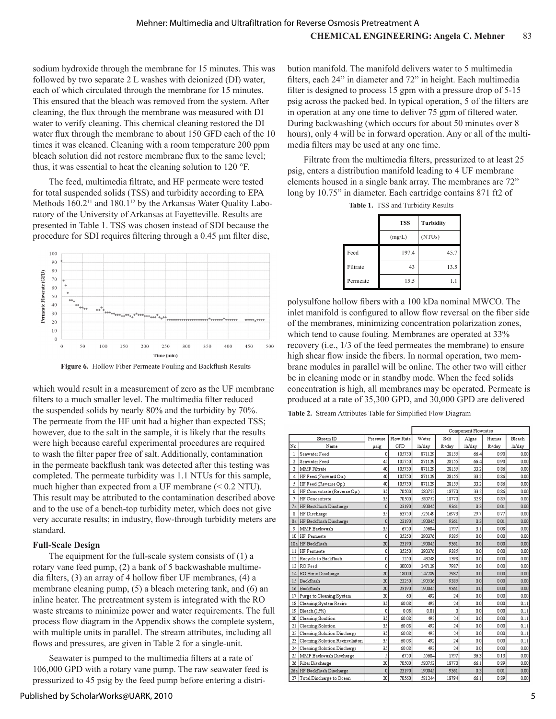sodium hydroxide through the membrane for 15 minutes. This was followed by two separate 2 L washes with deionized (DI) water, each of which circulated through the membrane for 15 minutes. This ensured that the bleach was removed from the system. After cleaning, the flux through the membrane was measured with DI water to verify cleaning. This chemical cleaning restored the DI water flux through the membrane to about 150 GFD each of the 10 times it was cleaned. Cleaning with a room temperature 200 ppm bleach solution did not restore membrane flux to the same level; thus, it was essential to heat the cleaning solution to 120 °F.

The feed, multimedia filtrate, and HF permeate were tested for total suspended solids (TSS) and turbidity according to EPA Methods 160.2<sup>11</sup> and 180.1<sup>12</sup> by the Arkansas Water Quality Laboratory of the University of Arkansas at Fayetteville. Results are presented in Table 1. TSS was chosen instead of SDI because the procedure for SDI requires filtering through a 0.45 μm filter disc,



**Figure 6.** Hollow Fiber Permeate Fouling and Backflush Results

which would result in a measurement of zero as the UF membrane filters to a much smaller level. The multimedia filter reduced the suspended solids by nearly 80% and the turbidity by 70%. The permeate from the HF unit had a higher than expected TSS; however, due to the salt in the sample, it is likely that the results were high because careful experimental procedures are required to wash the filter paper free of salt. Additionally, contamination in the permeate backflush tank was detected after this testing was completed. The permeate turbidity was 1.1 NTUs for this sample, much higher than expected from a UF membrane (< 0.2 NTU). This result may be attributed to the contamination described above and to the use of a bench-top turbidity meter, which does not give very accurate results; in industry, flow-through turbidity meters are standard.

## **Full-Scale Design**

The equipment for the full-scale system consists of  $(1)$  a rotary vane feed pump, (2) a bank of 5 backwashable multimedia filters, (3) an array of 4 hollow fiber UF membranes, (4) a membrane cleaning pump, (5) a bleach metering tank, and (6) an inline heater. The pretreatment system is integrated with the RO waste streams to minimize power and water requirements. The full process flow diagram in the Appendix shows the complete system, with multiple units in parallel. The stream attributes, including all flows and pressures, are given in Table 2 for a single-unit.

Seawater is pumped to the multimedia filters at a rate of 106,000 GPD with a rotary vane pump. The raw seawater feed is pressurized to 45 psig by the feed pump before entering a distri-

Published by ScholarWorks@UARK, 2010

bution manifold. The manifold delivers water to 5 multimedia filters, each 24" in diameter and 72" in height. Each multimedia filter is designed to process 15 gpm with a pressure drop of 5-15 psig across the packed bed. In typical operation, 5 of the filters are in operation at any one time to deliver 75 gpm of filtered water. During backwashing (which occurs for about 50 minutes over 8 hours), only 4 will be in forward operation. Any or all of the multimedia filters may be used at any one time.

Filtrate from the multimedia filters, pressurized to at least 25 psig, enters a distribution manifold leading to 4 UF membrane elements housed in a single bank array. The membranes are 72" long by 10.75" in diameter. Each cartridge contains 871 ft2 of

|          | <b>TSS</b> | Turbidity           |
|----------|------------|---------------------|
|          | (mg/L)     | (NTU <sub>s</sub> ) |
| Feed     | 197.4      | 45.7                |
| Filtrate | 43         | 13.5                |
| Permeate | 15.5       | 1.1                 |

**Table 1.** TSS and Turbidity Results

polysulfone hollow fibers with a 100 kDa nominal MWCO. The inlet manifold is configured to allow flow reversal on the fiber side of the membranes, minimizing concentration polarization zones, which tend to cause fouling. Membranes are operated at 33% recovery (i.e., 1/3 of the feed permeates the membrane) to ensure high shear flow inside the fibers. In normal operation, two membrane modules in parallel will be online. The other two will either be in cleaning mode or in standby mode. When the feed solids concentration is high, all membranes may be operated. Permeate is produced at a rate of 35,300 GPD, and 30,000 GPD are delivered

**Table 2.** Stream Attributes Table for Simplified Flow Diagram

|                |                                 |          |           | Component Flowrates |         |                |        |        |
|----------------|---------------------------------|----------|-----------|---------------------|---------|----------------|--------|--------|
|                | Stream ID                       | Pressure | Flow Rate | Water               | Salt    | Algae          | Humus  | Bleach |
| Nα             | Name                            | psig     | GPD       | 1b/day              | 1b/day  | 1b/day         | 1b/day | 1b/day |
| $\mathbf{1}$   | Seawater Feed                   | 0        | 105750    | 871129              | 28155   | 664            | 0.90   | 0.00   |
| $\overline{c}$ | Seawater Feed                   | 45       | 105750    | 871129              | 28155   | 66.4           | 0.90   | 0.00   |
| 3              | <b>MMF</b> Filtrate             | 40       | 105750    | 871129              | 28155   | 33.2           | 0.86   | 0.00   |
| 4              | HF Feed (Forward Op.)           | 40       | 105750    | 871129              | 28155   | 33.2           | 0.86   | 0.00   |
| 5              | HF Feed (Reverse Op.)           | 40       | 105750    | 871129              | 28155   | 33.2           | 0.86   | 0.00   |
| 6              | HF Concentrate (Reverse Op.)    | 35       | 70500     | 580752              | 18770   | 33.2           | 0.86   | 0.00   |
| 7              | HF Concentrate                  | 35       | 70.500    | 580752              | 18770   | 32.9           | 0.85   | 0.00   |
| 7a             | HF Backflush Discharge          | 0        | 23190     | 190045              | 9361    | 0.3            | 0.01   | 0.00   |
| 8              | HF Discharge                    | 35       | 63750     | 525149              | 16973   | 29.7           | 0.77   | 0.00   |
| 8a             | HF Backflush Discharge          | $\Omega$ | 23190     | 190045              | 9361    | 03             | 0.01   | 0.00   |
| 9              | MMF Backwash                    | 35       | 6750      | 55604               | 1797    | 3.1            | 0.08   | 0.00   |
| 10             | HF Permeate                     | 0        | 35250     | 290376              | 9385    | 0.0            | 0.00   | 0.00   |
| 10a            | HF Backflush                    | 20       | 23190     | 190045              | 9361    | 0.0            | 0.00   | 0.00   |
| 11             | <b>HF</b> Permeate              | 0        | 35250     | 290376              | 9385    | 0.0            | 0.00   | 0.00   |
| 12             | Recycle to Backflush            | 0        | 5250      | 43248               | 1398    | 0.0            | 0.00   | 0.00   |
| 13             | RO Feed                         | 0        | 30000     | 247129              | 7987    | 0.0            | 0.00   | 0.00   |
| 14             | RO Brine Discharge              | 20       | 18000     | 147289              | 7987    | 0.0            | 0.00   | 0.00   |
| 15             | Backflush                       | 20       | 23250     | 190536              | 9385    | 0.0            | 0.00   | 0.00   |
| 16             | Backflush                       | 20       | 23190     | 190045              | 9361    | 0.0            | 0.00   | 0.00   |
| 17             | Purge to Cleaning System        | 20       | 60        | 492                 | 24      | 0.0            | 0.00   | 0.00   |
| 18             | Cleaning System Recirc          | 35       | 60.08     | 492                 | $^{24}$ | 0O             | 0.00   | 0.11   |
| 19             | Bleach (15%)                    | 0        | 0.08      | 0.01                | 0       | 0.0            | 0.00   | 0.11   |
| 20             | Cleaning Soultion               | 35       | 60.08     | 492                 | 24      | 0.0            | 0.00   | 0.11   |
| 21             | Cleaning Solution               | 35       | 60.08     | 492                 | 24      | 0 <sub>0</sub> | 0.00   | 0.11   |
| 22             | Cleaning Solution Discharge     | 35       | 60.08     | 492                 | 24      | 0.0            | 0.00   | 0.11   |
| 23             | Cleaning Solution Recirculaiton | 35       | 60.08     | 492                 | 24      | 0.0            | 0.00   | 0.11   |
| 24             | Cleaning Solution Discharge     | 35       | 60.08     | 492                 | 24      | 0.0            | 0.00   | 0.00   |
| 25             | MMF Backwash Discharge          | 5        | 6750      | 55604               | 1797    | 36.3           | 0.13   | 0.00   |
| 26             | Filter Discharge                | 20       | 70500     | 580752              | 18770   | 661            | 0.89   | 0.00   |
|                | 26a HF Backflush Discharge      | 0        | 23190     | 190045              | 9361    | 0.3            | 0.01   | 0.00   |
| 27             | Total Discharge to Ocean        | 20       | 70560     | 581244              | 18794   | 66.1           | 0.89   | 0.00   |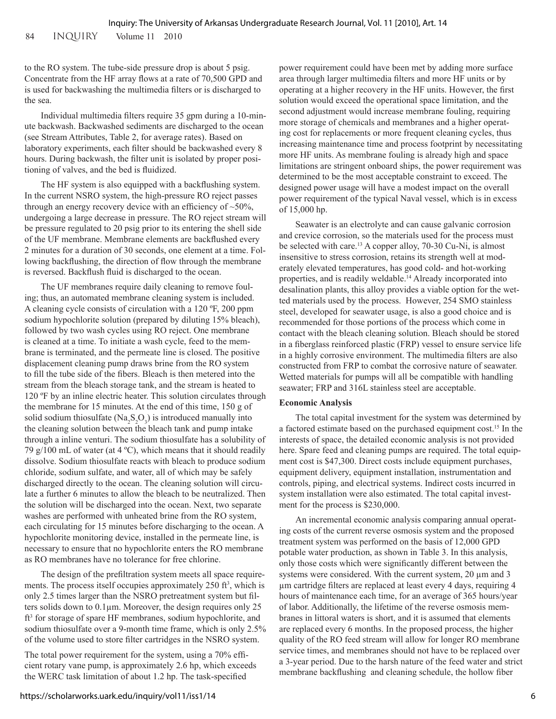to the RO system. The tube-side pressure drop is about 5 psig. Concentrate from the HF array flows at a rate of 70,500 GPD and is used for backwashing the multimedia filters or is discharged to the sea.

Individual multimedia filters require 35 gpm during a 10-minute backwash. Backwashed sediments are discharged to the ocean (see Stream Attributes, Table 2, for average rates). Based on laboratory experiments, each filter should be backwashed every 8 hours. During backwash, the filter unit is isolated by proper positioning of valves, and the bed is fluidized.

The HF system is also equipped with a backflushing system. In the current NSRO system, the high-pressure RO reject passes through an energy recovery device with an efficiency of  $~50\%$ , undergoing a large decrease in pressure. The RO reject stream will be pressure regulated to 20 psig prior to its entering the shell side of the UF membrane. Membrane elements are backflushed every 2 minutes for a duration of 30 seconds, one element at a time. Following backflushing, the direction of flow through the membrane is reversed. Backflush fluid is discharged to the ocean.

The UF membranes require daily cleaning to remove fouling; thus, an automated membrane cleaning system is included. A cleaning cycle consists of circulation with a 120 ºF, 200 ppm sodium hypochlorite solution (prepared by diluting 15% bleach), followed by two wash cycles using RO reject. One membrane is cleaned at a time. To initiate a wash cycle, feed to the membrane is terminated, and the permeate line is closed. The positive displacement cleaning pump draws brine from the RO system to fill the tube side of the fibers. Bleach is then metered into the stream from the bleach storage tank, and the stream is heated to 120 ºF by an inline electric heater. This solution circulates through the membrane for 15 minutes. At the end of this time, 150 g of solid sodium thiosulfate  $(Na_2S_2O_3)$  is introduced manually into the cleaning solution between the bleach tank and pump intake through a inline venturi. The sodium thiosulfate has a solubility of 79 g/100 mL of water (at  $4^{\circ}$ C), which means that it should readily dissolve. Sodium thiosulfate reacts with bleach to produce sodium chloride, sodium sulfate, and water, all of which may be safely discharged directly to the ocean. The cleaning solution will circulate a further 6 minutes to allow the bleach to be neutralized. Then the solution will be discharged into the ocean. Next, two separate washes are performed with unheated brine from the RO system, each circulating for 15 minutes before discharging to the ocean. A hypochlorite monitoring device, installed in the permeate line, is necessary to ensure that no hypochlorite enters the RO membrane as RO membranes have no tolerance for free chlorine.

The design of the prefiltration system meets all space requirements. The process itself occupies approximately 250 ft<sup>3</sup>, which is only 2.5 times larger than the NSRO pretreatment system but filters solids down to 0.1µm. Moreover, the design requires only 25 ft<sup>3</sup> for storage of spare HF membranes, sodium hypochlorite, and sodium thiosulfate over a 9-month time frame, which is only 2.5% of the volume used to store filter cartridges in the NSRO system.

The total power requirement for the system, using a 70% efficient rotary vane pump, is approximately 2.6 hp, which exceeds the WERC task limitation of about 1.2 hp. The task-specified

power requirement could have been met by adding more surface area through larger multimedia filters and more HF units or by operating at a higher recovery in the HF units. However, the first solution would exceed the operational space limitation, and the second adjustment would increase membrane fouling, requiring more storage of chemicals and membranes and a higher operating cost for replacements or more frequent cleaning cycles, thus increasing maintenance time and process footprint by necessitating more HF units. As membrane fouling is already high and space limitations are stringent onboard ships, the power requirement was determined to be the most acceptable constraint to exceed. The designed power usage will have a modest impact on the overall power requirement of the typical Naval vessel, which is in excess of 15,000 hp.

Seawater is an electrolyte and can cause galvanic corrosion and crevice corrosion, so the materials used for the process must be selected with care.<sup>13</sup> A copper alloy, 70-30 Cu-Ni, is almost insensitive to stress corrosion, retains its strength well at moderately elevated temperatures, has good cold- and hot-working properties, and is readily weldable.<sup>14</sup> Already incorporated into desalination plants, this alloy provides a viable option for the wetted materials used by the process. However, 254 SMO stainless steel, developed for seawater usage, is also a good choice and is recommended for those portions of the process which come in contact with the bleach cleaning solution. Bleach should be stored in a fiberglass reinforced plastic (FRP) vessel to ensure service life in a highly corrosive environment. The multimedia filters are also constructed from FRP to combat the corrosive nature of seawater. Wetted materials for pumps will all be compatible with handling seawater; FRP and 316L stainless steel are acceptable.

## **Economic Analysis**

The total capital investment for the system was determined by a factored estimate based on the purchased equipment cost.15 In the interests of space, the detailed economic analysis is not provided here. Spare feed and cleaning pumps are required. The total equipment cost is \$47,300. Direct costs include equipment purchases, equipment delivery, equipment installation, instrumentation and controls, piping, and electrical systems. Indirect costs incurred in system installation were also estimated. The total capital investment for the process is \$230,000.

An incremental economic analysis comparing annual operating costs of the current reverse osmosis system and the proposed treatment system was performed on the basis of 12,000 GPD potable water production, as shown in Table 3. In this analysis, only those costs which were significantly different between the systems were considered. With the current system, 20  $\mu$ m and 3 µm cartridge filters are replaced at least every 4 days, requiring 4 hours of maintenance each time, for an average of 365 hours/year of labor. Additionally, the lifetime of the reverse osmosis membranes in littoral waters is short, and it is assumed that elements are replaced every 6 months. In the proposed process, the higher quality of the RO feed stream will allow for longer RO membrane service times, and membranes should not have to be replaced over a 3-year period. Due to the harsh nature of the feed water and strict membrane backflushing and cleaning schedule, the hollow fiber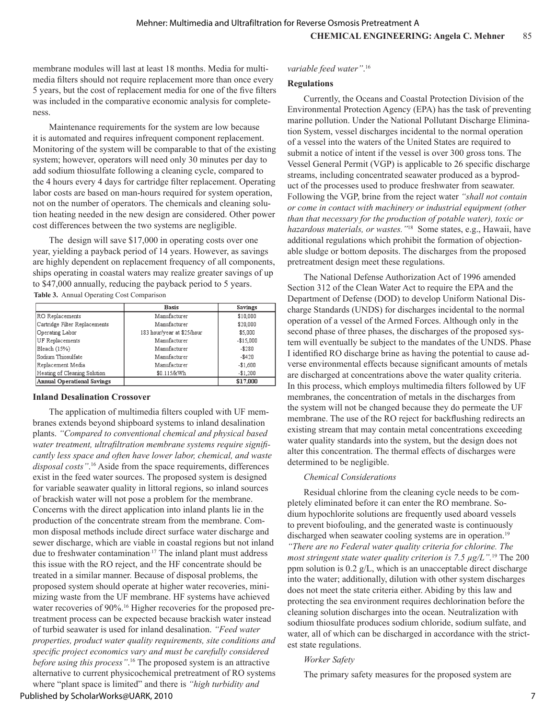membrane modules will last at least 18 months. Media for multimedia filters should not require replacement more than once every 5 years, but the cost of replacement media for one of the five filters was included in the comparative economic analysis for completeness.

Maintenance requirements for the system are low because it is automated and requires infrequent component replacement. Monitoring of the system will be comparable to that of the existing system; however, operators will need only 30 minutes per day to add sodium thiosulfate following a cleaning cycle, compared to the 4 hours every 4 days for cartridge filter replacement. Operating labor costs are based on man-hours required for system operation, not on the number of operators. The chemicals and cleaning solution heating needed in the new design are considered. Other power cost differences between the two systems are negligible.

The design will save \$17,000 in operating costs over one year, yielding a payback period of 14 years. However, as savings are highly dependent on replacement frequency of all components, ships operating in coastal waters may realize greater savings of up to \$47,000 annually, reducing the payback period to 5 years.

**Table 3.** Annual Operating Cost Comparison

|                                   | <b>Basis</b>               | <b>Savings</b> |
|-----------------------------------|----------------------------|----------------|
| <b>RO</b> Replacements            | Manufacturer               | \$10,000       |
| Cartridge Filter Replacements     | Manufacturer               | \$20,000       |
| Operating Labor                   | 183 hour/year at \$25/hour | \$5,000        |
| <b>UF</b> Replacements            | Manufacturer               | $-$15,000$     |
| Bleach (15%)                      | Manufacturer               | $- $280$       |
| Sodium Thiosulfate                | Manufacturer               | $-$ \$420      |
| Replacement Media                 | Manufacturer               | $-$1,600$      |
| Heating of Cleaning Solution      | \$0.115/kWh                | $-$1,200$      |
| <b>Annual Operational Savings</b> |                            | \$17,000       |

#### **Inland Desalination Crossover**

The application of multimedia filters coupled with UF membranes extends beyond shipboard systems to inland desalination plants. *"Compared to conventional chemical and physical based water treatment, ultrafiltration membrane systems require significantly less space and often have lower labor, chemical, and waste disposal costs"*. 16 Aside from the space requirements, differences exist in the feed water sources. The proposed system is designed for variable seawater quality in littoral regions, so inland sources of brackish water will not pose a problem for the membrane. Concerns with the direct application into inland plants lie in the production of the concentrate stream from the membrane. Common disposal methods include direct surface water discharge and sewer discharge, which are viable in coastal regions but not inland due to freshwater contamination.17 The inland plant must address this issue with the RO reject, and the HF concentrate should be treated in a similar manner. Because of disposal problems, the proposed system should operate at higher water recoveries, minimizing waste from the UF membrane. HF systems have achieved water recoveries of 90%.<sup>16</sup> Higher recoveries for the proposed pretreatment process can be expected because brackish water instead of turbid seawater is used for inland desalination. *"Feed water properties, product water quality requirements, site conditions and specific project economics vary and must be carefully considered before using this process"*. 16 The proposed system is an attractive alternative to current physicochemical pretreatment of RO systems where "plant space is limited" and there is *"high turbidity and* 

## *variable feed water"*. 16

### **Regulations**

Currently, the Oceans and Coastal Protection Division of the Environmental Protection Agency (EPA) has the task of preventing marine pollution. Under the National Pollutant Discharge Elimination System, vessel discharges incidental to the normal operation of a vessel into the waters of the United States are required to submit a notice of intent if the vessel is over 300 gross tons. The Vessel General Permit (VGP) is applicable to 26 specific discharge streams, including concentrated seawater produced as a byproduct of the processes used to produce freshwater from seawater. Following the VGP, brine from the reject water *"shall not contain or come in contact with machinery or industrial equipment (other than that necessary for the production of potable water), toxic or hazardous materials, or wastes."*18 Some states, e.g., Hawaii, have additional regulations which prohibit the formation of objectionable sludge or bottom deposits. The discharges from the proposed pretreatment design meet these regulations.

The National Defense Authorization Act of 1996 amended Section 312 of the Clean Water Act to require the EPA and the Department of Defense (DOD) to develop Uniform National Discharge Standards (UNDS) for discharges incidental to the normal operation of a vessel of the Armed Forces. Although only in the second phase of three phases, the discharges of the proposed system will eventually be subject to the mandates of the UNDS. Phase I identified RO discharge brine as having the potential to cause adverse environmental effects because significant amounts of metals are discharged at concentrations above the water quality criteria. In this process, which employs multimedia filters followed by UF membranes, the concentration of metals in the discharges from the system will not be changed because they do permeate the UF membrane. The use of the RO reject for backflushing redirects an existing stream that may contain metal concentrations exceeding water quality standards into the system, but the design does not alter this concentration. The thermal effects of discharges were determined to be negligible.

## *Chemical Considerations*

Residual chlorine from the cleaning cycle needs to be completely eliminated before it can enter the RO membrane. Sodium hypochlorite solutions are frequently used aboard vessels to prevent biofouling, and the generated waste is continuously discharged when seawater cooling systems are in operation.<sup>19</sup> *"There are no Federal water quality criteria for chlorine. The most stringent state water quality criterion is 7.5 μg/L".*19 The 200 ppm solution is 0.2 g/L, which is an unacceptable direct discharge into the water; additionally, dilution with other system discharges does not meet the state criteria either. Abiding by this law and protecting the sea environment requires dechlorination before the cleaning solution discharges into the ocean. Neutralization with sodium thiosulfate produces sodium chloride, sodium sulfate, and water, all of which can be discharged in accordance with the strictest state regulations.

## *Worker Safety*

The primary safety measures for the proposed system are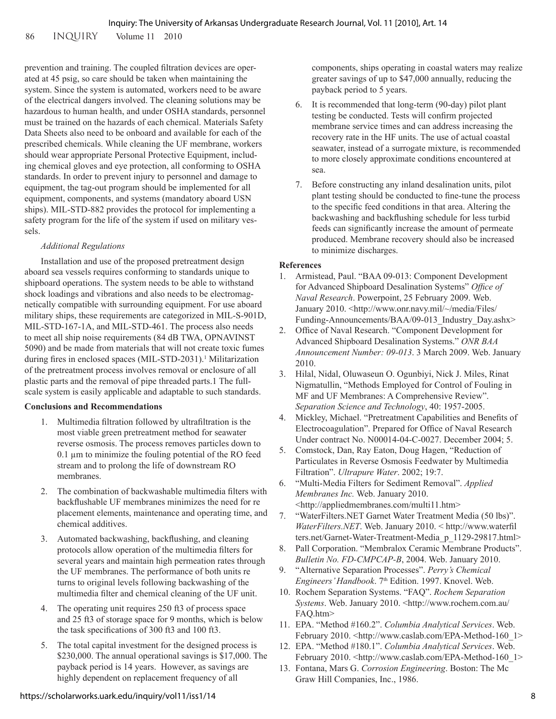prevention and training. The coupled filtration devices are operated at 45 psig, so care should be taken when maintaining the system. Since the system is automated, workers need to be aware of the electrical dangers involved. The cleaning solutions may be hazardous to human health, and under OSHA standards, personnel must be trained on the hazards of each chemical. Materials Safety Data Sheets also need to be onboard and available for each of the prescribed chemicals. While cleaning the UF membrane, workers should wear appropriate Personal Protective Equipment, including chemical gloves and eye protection, all conforming to OSHA standards. In order to prevent injury to personnel and damage to equipment, the tag-out program should be implemented for all equipment, components, and systems (mandatory aboard USN ships). MIL-STD-882 provides the protocol for implementing a safety program for the life of the system if used on military vessels.

## *Additional Regulations*

Installation and use of the proposed pretreatment design aboard sea vessels requires conforming to standards unique to shipboard operations. The system needs to be able to withstand shock loadings and vibrations and also needs to be electromagnetically compatible with surrounding equipment. For use aboard military ships, these requirements are categorized in MIL-S-901D, MIL-STD-167-1A, and MIL-STD-461. The process also needs to meet all ship noise requirements (84 dB TWA, OPNAVINST 5090) and be made from materials that will not create toxic fumes during fires in enclosed spaces (MIL-STD-2031).<sup>1</sup> Militarization of the pretreatment process involves removal or enclosure of all plastic parts and the removal of pipe threaded parts.1 The fullscale system is easily applicable and adaptable to such standards.

## **Conclusions and Recommendations**

- 1. Multimedia filtration followed by ultrafiltration is the most viable green pretreatment method for seawater reverse osmosis. The process removes particles down to 0.1 µm to minimize the fouling potential of the RO feed stream and to prolong the life of downstream RO membranes.
- 2. The combination of backwashable multimedia filters with backflushable UF membranes minimizes the need for re placement elements, maintenance and operating time, and chemical additives.
- 3. Automated backwashing, backflushing, and cleaning protocols allow operation of the multimedia filters for several years and maintain high permeation rates through the UF membranes. The performance of both units re turns to original levels following backwashing of the multimedia filter and chemical cleaning of the UF unit.
- 4. The operating unit requires 250 ft3 of process space and 25 ft3 of storage space for 9 months, which is below the task specifications of 300 ft3 and 100 ft3.
- 5. The total capital investment for the designed process is \$230,000. The annual operational savings is \$17,000. The payback period is 14 years. However, as savings are highly dependent on replacement frequency of all

components, ships operating in coastal waters may realize greater savings of up to \$47,000 annually, reducing the payback period to 5 years.

- 6. It is recommended that long-term (90-day) pilot plant testing be conducted. Tests will confirm projected membrane service times and can address increasing the recovery rate in the HF units. The use of actual coastal seawater, instead of a surrogate mixture, is recommended to more closely approximate conditions encountered at sea.
- 7. Before constructing any inland desalination units, pilot plant testing should be conducted to fine-tune the process to the specific feed conditions in that area. Altering the backwashing and backflushing schedule for less turbid feeds can significantly increase the amount of permeate produced. Membrane recovery should also be increased to minimize discharges.

## **References**

- 1. Armistead, Paul. "BAA 09-013: Component Development for Advanced Shipboard Desalination Systems" *Office of Naval Research*. Powerpoint, 25 February 2009. Web. January 2010. <http://www.onr.navy.mil/~/media/Files/ Funding-Announcements/BAA/09-013\_Industry\_Day.ashx>
- 2. Office of Naval Research. "Component Development for Advanced Shipboard Desalination Systems." *ONR BAA Announcement Number: 09-013*. 3 March 2009. Web. January 2010.
- 3. Hilal, Nidal, Oluwaseun O. Ogunbiyi, Nick J. Miles, Rinat Nigmatullin, "Methods Employed for Control of Fouling in MF and UF Membranes: A Comprehensive Review". *Separation Science and Technology*, 40: 1957-2005.
- 4. Mickley, Michael. "Pretreatment Capabilities and Benefits of Electrocoagulation". Prepared for Office of Naval Research Under contract No. N00014-04-C-0027. December 2004; 5.
- 5. Comstock, Dan, Ray Eaton, Doug Hagen, "Reduction of Particulates in Reverse Osmosis Feedwater by Multimedia Filtration". *Ultrapure Water*. 2002; 19:7.
- 6. "Multi-Media Filters for Sediment Removal". *Applied Membranes Inc.* Web. January 2010. <http://appliedmembranes.com/multi11.htm>
- 7. "WaterFilters.NET Garnet Water Treatment Media (50 lbs)". *WaterFilters.NET*. Web. January 2010. < http://www.waterfil ters.net/Garnet-Water-Treatment-Media\_p\_1129-29817.html>
- 8. Pall Corporation. "Membralox Ceramic Membrane Products". *Bulletin No. FD-CMPCAP-B*, 2004. Web. January 2010.
- 9. "Alternative Separation Processes". *Perry's Chemical Engineers' Handbook*. 7th Edition. 1997. Knovel. Web.
- 10. Rochem Separation Systems. "FAQ". *Rochem Separation Systems*. Web. January 2010. <http://www.rochem.com.au/ FAQ.htm>
- 11. EPA. "Method #160.2". *Columbia Analytical Services*. Web. February 2010. <http://www.caslab.com/EPA-Method-160\_1>
- 12. EPA. "Method #180.1". *Columbia Analytical Services*. Web. February 2010. <http://www.caslab.com/EPA-Method-160\_1>
- 13. Fontana, Mars G. *Corrosion Engineering*. Boston: The Mc Graw Hill Companies, Inc., 1986.